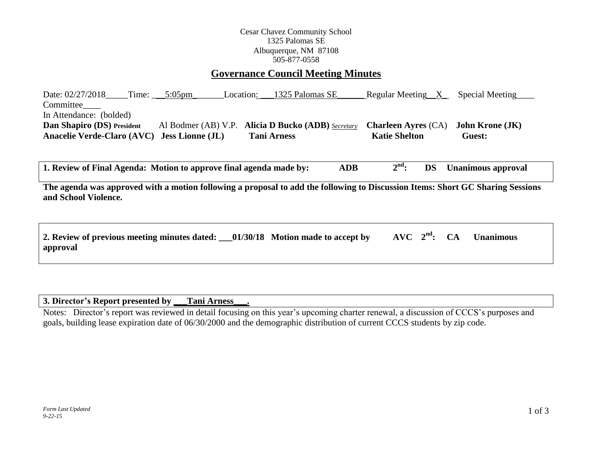## **Governance Council Meeting Minutes**

Date: 02/27/2018\_\_\_\_Time: \_\_\_\_5:05pm\_\_\_\_\_\_\_\_\_Location: \_\_\_1325 Palomas SE\_\_\_\_\_\_\_ Regular Meeting\_\_X\_\_\_\_Special Meeting Committee\_\_\_\_ In Attendance: (bolded) **Dan Shapiro (DS) President** Al Bodmer (AB) V.P. **Alicia D Bucko (ADB)** *Secretary* **Charleen Ayres** (CA) **John Krone (JK) Anacelie Verde-Claro (AVC) Jess Lionne (JL) Tani Arness Katie Shelton Guest:** 

**1. Review of Final Agenda: Motion to approve final agenda made by: ADB 2 nd: DS Unanimous approval**

**The agenda was approved with a motion following a proposal to add the following to Discussion Items: Short GC Sharing Sessions and School Violence.**

| 2. Review of previous meeting minutes dated: __01/30/18 Motion made to accept by |  |  | $AVC$ $2nd$ : CA Unanimous |
|----------------------------------------------------------------------------------|--|--|----------------------------|
| approval                                                                         |  |  |                            |

**3. Director's Report presented by \_\_\_Tani Arness\_\_\_.**

Notes: Director's report was reviewed in detail focusing on this year's upcoming charter renewal, a discussion of CCCS's purposes and goals, building lease expiration date of 06/30/2000 and the demographic distribution of current CCCS students by zip code.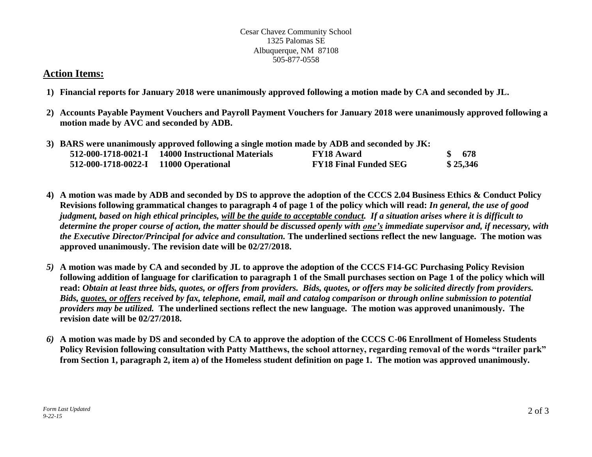# **Action Items:**

- **1) Financial reports for January 2018 were unanimously approved following a motion made by CA and seconded by JL.**
- **2) Accounts Payable Payment Vouchers and Payroll Payment Vouchers for January 2018 were unanimously approved following a motion made by AVC and seconded by ADB.**

| 3) BARS were unanimously approved following a single motion made by ADB and seconded by JK: |                                                   |                              |  |          |  |  |  |
|---------------------------------------------------------------------------------------------|---------------------------------------------------|------------------------------|--|----------|--|--|--|
|                                                                                             | 512-000-1718-0021-I 14000 Instructional Materials | <b>FY18 Award</b>            |  | \$678    |  |  |  |
| 512-000-1718-0022-I 11000 Operational                                                       |                                                   | <b>FY18 Final Funded SEG</b> |  | \$25,346 |  |  |  |

- **4) A motion was made by ADB and seconded by DS to approve the adoption of the CCCS 2.04 Business Ethics & Conduct Policy Revisions following grammatical changes to paragraph 4 of page 1 of the policy which will read:** *In general, the use of good judgment, based on high ethical principles, will be the guide to acceptable conduct. If a situation arises where it is difficult to determine the proper course of action, the matter should be discussed openly with one's immediate supervisor and, if necessary, with the Executive Director/Principal for advice and consultation.* **The underlined sections reflect the new language. The motion was approved unanimously. The revision date will be 02/27/2018.**
- *5)* **A motion was made by CA and seconded by JL to approve the adoption of the CCCS F14-GC Purchasing Policy Revision following addition of language for clarification to paragraph 1 of the Small purchases section on Page 1 of the policy which will read:** *Obtain at least three bids, quotes, or offers from providers. Bids, quotes, or offers may be solicited directly from providers. Bids, quotes, or offers received by fax, telephone, email, mail and catalog comparison or through online submission to potential providers may be utilized.* **The underlined sections reflect the new language. The motion was approved unanimously. The revision date will be 02/27/2018.**
- *6)* **A motion was made by DS and seconded by CA to approve the adoption of the CCCS C-06 Enrollment of Homeless Students Policy Revision following consultation with Patty Matthews, the school attorney, regarding removal of the words "trailer park" from Section 1, paragraph 2, item a) of the Homeless student definition on page 1. The motion was approved unanimously.**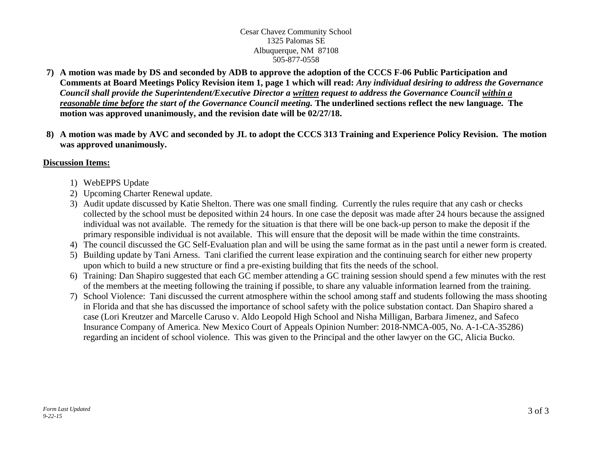- **7) A motion was made by DS and seconded by ADB to approve the adoption of the CCCS F-06 Public Participation and Comments at Board Meetings Policy Revision item 1, page 1 which will read:** *Any individual desiring to address the Governance Council shall provide the Superintendent/Executive Director a written request to address the Governance Council within a reasonable time before the start of the Governance Council meeting.* **The underlined sections reflect the new language. The motion was approved unanimously, and the revision date will be 02/27/18.**
- **8) A motion was made by AVC and seconded by JL to adopt the CCCS 313 Training and Experience Policy Revision. The motion was approved unanimously.**

### **Discussion Items:**

- 1) WebEPPS Update
- 2) Upcoming Charter Renewal update.
- 3) Audit update discussed by Katie Shelton. There was one small finding. Currently the rules require that any cash or checks collected by the school must be deposited within 24 hours. In one case the deposit was made after 24 hours because the assigned individual was not available. The remedy for the situation is that there will be one back-up person to make the deposit if the primary responsible individual is not available. This will ensure that the deposit will be made within the time constraints.
- 4) The council discussed the GC Self-Evaluation plan and will be using the same format as in the past until a newer form is created.
- 5) Building update by Tani Arness. Tani clarified the current lease expiration and the continuing search for either new property upon which to build a new structure or find a pre-existing building that fits the needs of the school.
- 6) Training: Dan Shapiro suggested that each GC member attending a GC training session should spend a few minutes with the rest of the members at the meeting following the training if possible, to share any valuable information learned from the training.
- 7) School Violence: Tani discussed the current atmosphere within the school among staff and students following the mass shooting in Florida and that she has discussed the importance of school safety with the police substation contact. Dan Shapiro shared a case (Lori Kreutzer and Marcelle Caruso v. Aldo Leopold High School and Nisha Milligan, Barbara Jimenez, and Safeco Insurance Company of America. New Mexico Court of Appeals Opinion Number: 2018-NMCA-005, No. A-1-CA-35286) regarding an incident of school violence. This was given to the Principal and the other lawyer on the GC, Alicia Bucko.